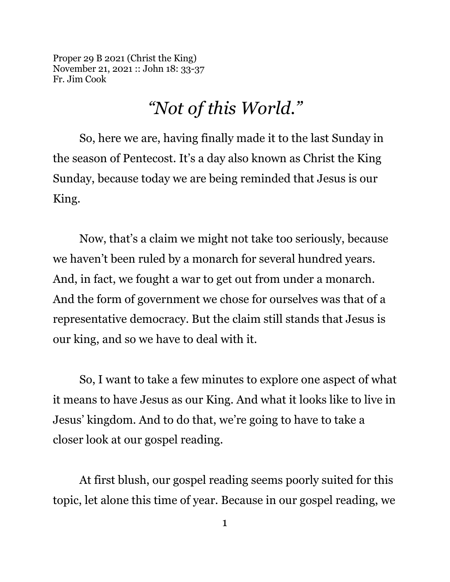Proper 29 B 2021 (Christ the King) November 21, 2021 :: John 18: 33-37 Fr. Jim Cook

## *"Not of this World."*

So, here we are, having finally made it to the last Sunday in the season of Pentecost. It's a day also known as Christ the King Sunday, because today we are being reminded that Jesus is our King.

Now, that's a claim we might not take too seriously, because we haven't been ruled by a monarch for several hundred years. And, in fact, we fought a war to get out from under a monarch. And the form of government we chose for ourselves was that of a representative democracy. But the claim still stands that Jesus is our king, and so we have to deal with it.

So, I want to take a few minutes to explore one aspect of what it means to have Jesus as our King. And what it looks like to live in Jesus' kingdom. And to do that, we're going to have to take a closer look at our gospel reading.

At first blush, our gospel reading seems poorly suited for this topic, let alone this time of year. Because in our gospel reading, we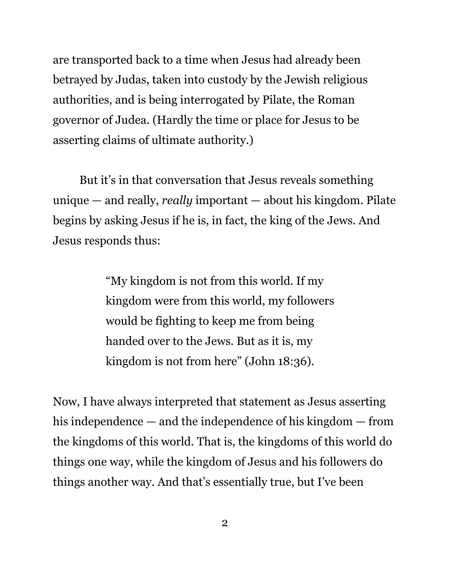are transported back to a time when Jesus had already been betrayed by Judas, taken into custody by the Jewish religious authorities, and is being interrogated by Pilate, the Roman governor of Judea. (Hardly the time or place for Jesus to be asserting claims of ultimate authority.)

But it's in that conversation that Jesus reveals something unique — and really, *really* important — about his kingdom. Pilate begins by asking Jesus if he is, in fact, the king of the Jews. And Jesus responds thus:

> "My kingdom is not from this world. If my kingdom were from this world, my followers would be fighting to keep me from being handed over to the Jews. But as it is, my kingdom is not from here" (John 18:36).

Now, I have always interpreted that statement as Jesus asserting his independence — and the independence of his kingdom — from the kingdoms of this world. That is, the kingdoms of this world do things one way, while the kingdom of Jesus and his followers do things another way. And that's essentially true, but I've been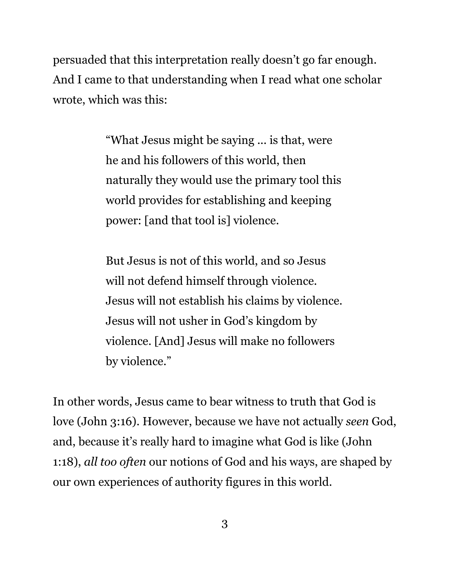persuaded that this interpretation really doesn't go far enough. And I came to that understanding when I read what one scholar wrote, which was this:

> "What Jesus might be saying ... is that, were he and his followers of this world, then naturally they would use the primary tool this world provides for establishing and keeping power: [and that tool is] violence.

> But Jesus is not of this world, and so Jesus will not defend himself through violence. Jesus will not establish his claims by violence. Jesus will not usher in God's kingdom by violence. [And] Jesus will make no followers by violence."

In other words, Jesus came to bear witness to truth that God is love (John 3:16). However, because we have not actually *seen* God, and, because it's really hard to imagine what God is like (John 1:18), *all too often* our notions of God and his ways, are shaped by our own experiences of authority figures in this world.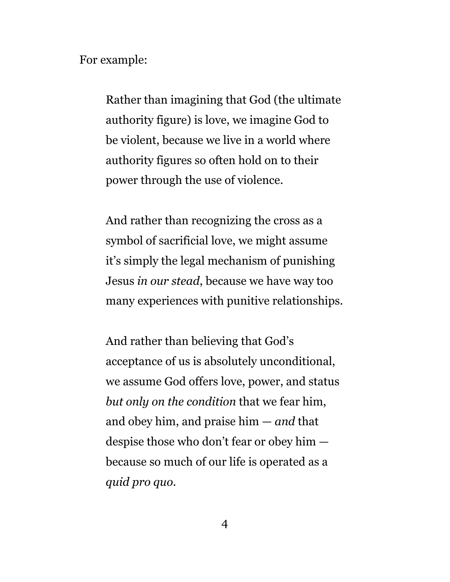For example:

Rather than imagining that God (the ultimate authority figure) is love, we imagine God to be violent, because we live in a world where authority figures so often hold on to their power through the use of violence.

And rather than recognizing the cross as a symbol of sacrificial love, we might assume it's simply the legal mechanism of punishing Jesus *in our stead*, because we have way too many experiences with punitive relationships.

And rather than believing that God's acceptance of us is absolutely unconditional, we assume God offers love, power, and status *but only on the condition* that we fear him, and obey him, and praise him — *and* that despise those who don't fear or obey him because so much of our life is operated as a *quid pro quo*.

4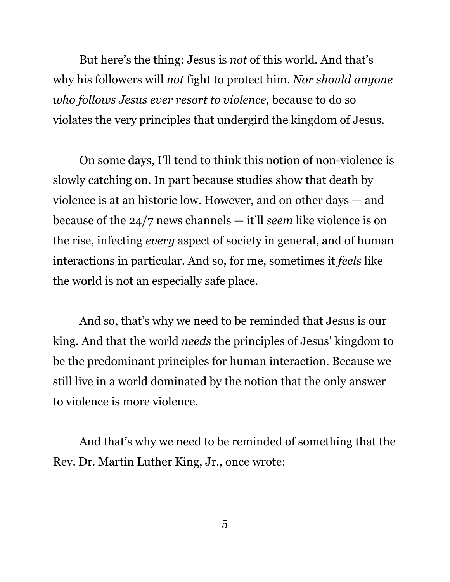But here's the thing: Jesus is *not* of this world. And that's why his followers will *not* fight to protect him. *Nor should anyone who follows Jesus ever resort to violence*, because to do so violates the very principles that undergird the kingdom of Jesus.

On some days, I'll tend to think this notion of non-violence is slowly catching on. In part because studies show that death by violence is at an historic low. However, and on other days — and because of the 24/7 news channels — it'll *seem* like violence is on the rise, infecting *every* aspect of society in general, and of human interactions in particular. And so, for me, sometimes it *feels* like the world is not an especially safe place.

And so, that's why we need to be reminded that Jesus is our king. And that the world *needs* the principles of Jesus' kingdom to be the predominant principles for human interaction. Because we still live in a world dominated by the notion that the only answer to violence is more violence.

And that's why we need to be reminded of something that the Rev. Dr. Martin Luther King, Jr., once wrote: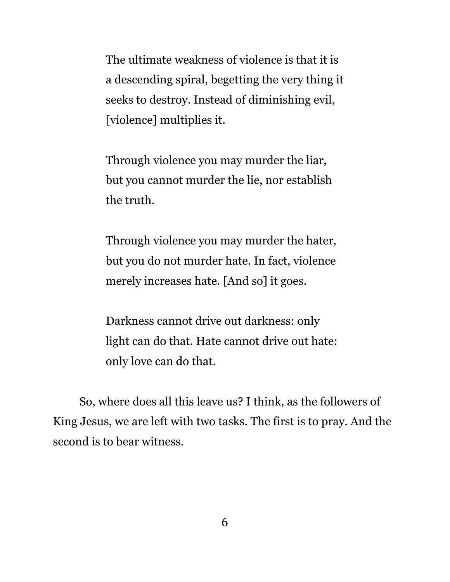The ultimate weakness of violence is that it is a descending spiral, begetting the very thing it seeks to destroy. Instead of diminishing evil, [violence] multiplies it.

Through violence you may murder the liar, but you cannot murder the lie, nor establish the truth.

Through violence you may murder the hater, but you do not murder hate. In fact, violence merely increases hate. [And so] it goes.

Darkness cannot drive out darkness: only light can do that. Hate cannot drive out hate: only love can do that.

So, where does all this leave us? I think, as the followers of King Jesus, we are left with two tasks. The first is to pray. And the second is to bear witness.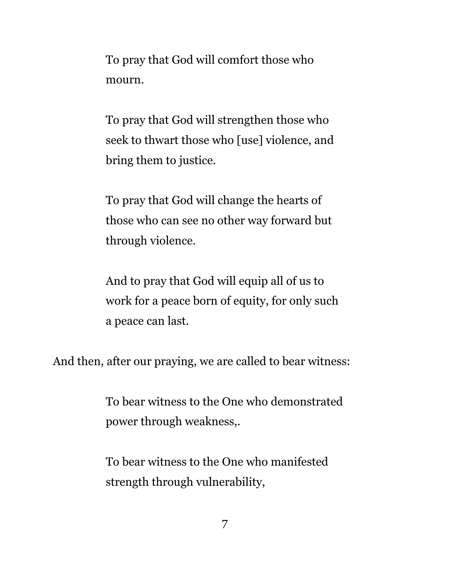To pray that God will comfort those who mourn.

To pray that God will strengthen those who seek to thwart those who [use] violence, and bring them to justice.

To pray that God will change the hearts of those who can see no other way forward but through violence.

And to pray that God will equip all of us to work for a peace born of equity, for only such a peace can last.

And then, after our praying, we are called to bear witness:

To bear witness to the One who demonstrated power through weakness,.

To bear witness to the One who manifested strength through vulnerability,